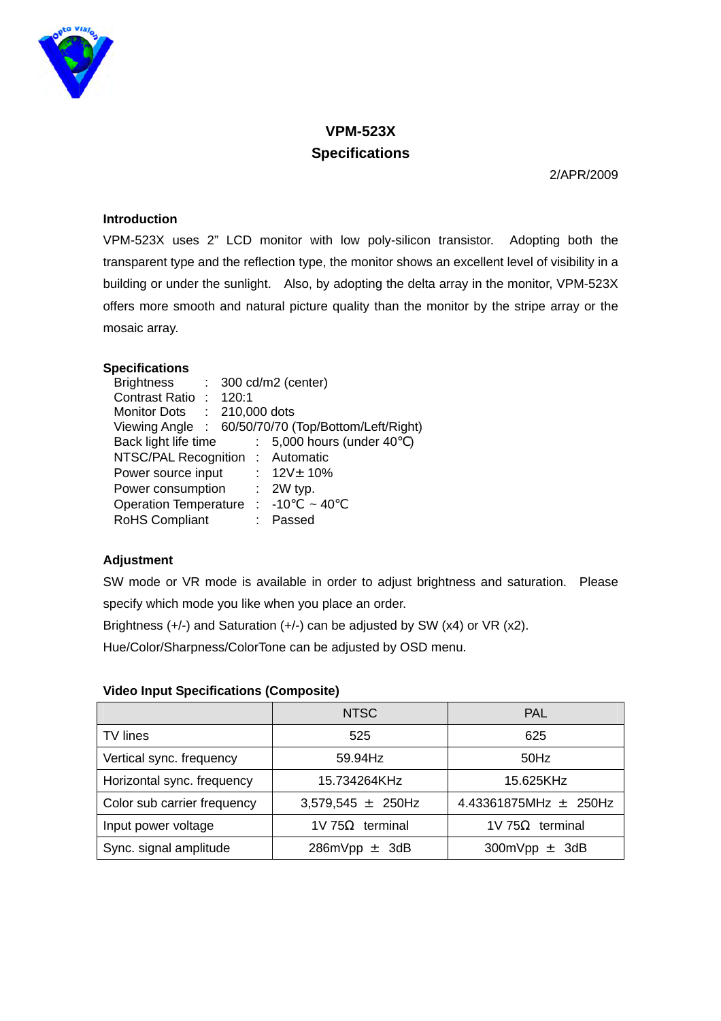

# **VPM-523X Specifications**

2/APR/2009

## **Introduction**

VPM-523X uses 2" LCD monitor with low poly-silicon transistor. Adopting both the transparent type and the reflection type, the monitor shows an excellent level of visibility in a building or under the sunlight. Also, by adopting the delta array in the monitor, VPM-523X offers more smooth and natural picture quality than the monitor by the stripe array or the mosaic array.

### **Specifications**

| <b>Brightness</b>                        |  |  | $: 300 \text{ cd/m2}$ (center)                      |
|------------------------------------------|--|--|-----------------------------------------------------|
| Contrast Ratio: 120:1                    |  |  |                                                     |
| Monitor Dots : 210,000 dots              |  |  |                                                     |
|                                          |  |  | Viewing Angle : 60/50/70/70 (Top/Bottom/Left/Right) |
| Back light life time                     |  |  | : 5,000 hours (under 40)                            |
| NTSC/PAL Recognition : Automatic         |  |  |                                                     |
| Power source input                       |  |  | : $12V_{\pm}$ 10%                                   |
| Power consumption                        |  |  | $: 2W$ typ.                                         |
| Operation Temperature : $-10 \approx 40$ |  |  |                                                     |
| <b>RoHS Compliant</b>                    |  |  | Passed                                              |

# **Adjustment**

SW mode or VR mode is available in order to adjust brightness and saturation. Please specify which mode you like when you place an order.

Brightness (+/-) and Saturation (+/-) can be adjusted by SW (x4) or VR (x2).

Hue/Color/Sharpness/ColorTone can be adjusted by OSD menu.

#### **Video Input Specifications (Composite)**

|                             | NTSC                   | <b>PAL</b>                |
|-----------------------------|------------------------|---------------------------|
| TV lines                    | 525                    | 625                       |
| Vertical sync. frequency    | 59.94Hz                | $50$ Hz                   |
| Horizontal sync. frequency  | 15.734264KHz           | 15.625KHz                 |
| Color sub carrier frequency | $3,579,545 \pm 250$ Hz | 4.43361875MHz $\pm$ 250Hz |
| Input power voltage         | terminal<br>1V 75      | terminal<br>1V 75         |
| Sync. signal amplitude      | 286mVpp $\pm$<br>-3dB  | 300mVpp $\pm$<br>3dB      |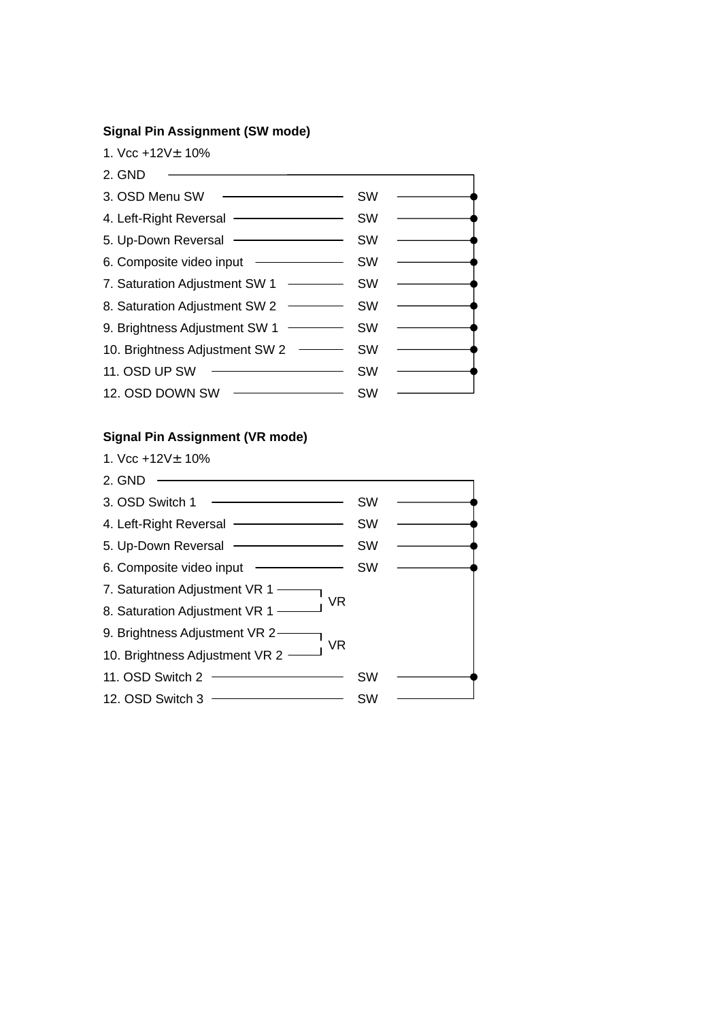#### **Signal Pin Assignment (SW mode)**

1. Vcc +12V±10%



#### **Signal Pin Assignment (VR mode)**

1. Vcc  $+12V_{\pm}$  10%

2. GND 3. OSD Switch  $1$   $\longrightarrow$ 4. Left-Right Reversal - SW 5. Up-Down Reversal **SW** 6. Composite video input - SW 7. Saturation Adjustment VR 1-8. Saturation Adjustment VR 1 -9. Brightness Adjustment VR 2-10. Brightness Adjustment VR 2 -11. OSD Switch 2 SW 12. OSD Switch 3 **SWITCH SWITCH SWITCH SW** VR VR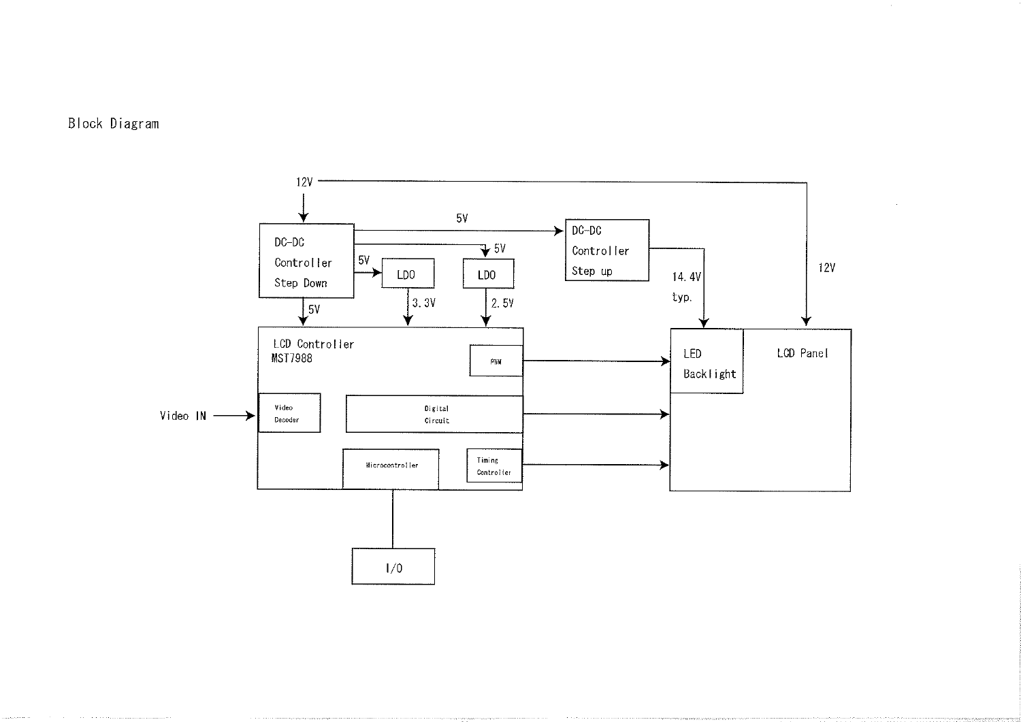



 $\sim 0.1$ 

 $\sim$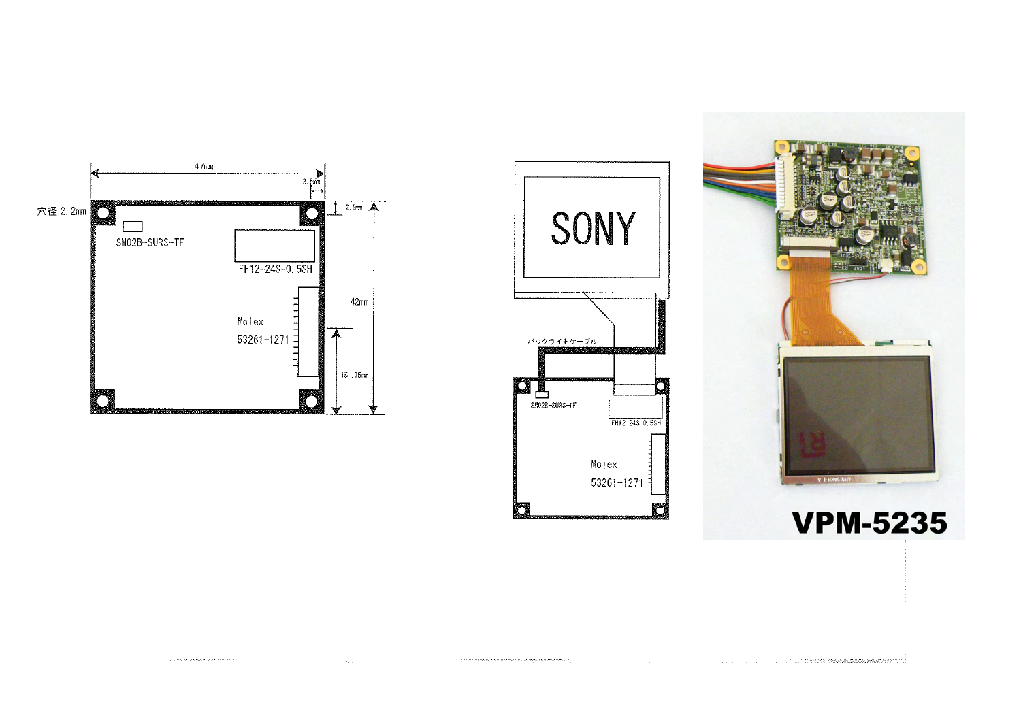

t,



the complete three contact a construction of the form of the contact of the contact of the contact of the contact of the contact of the contact of the contact of the contact of the contact of the contact of the contact of